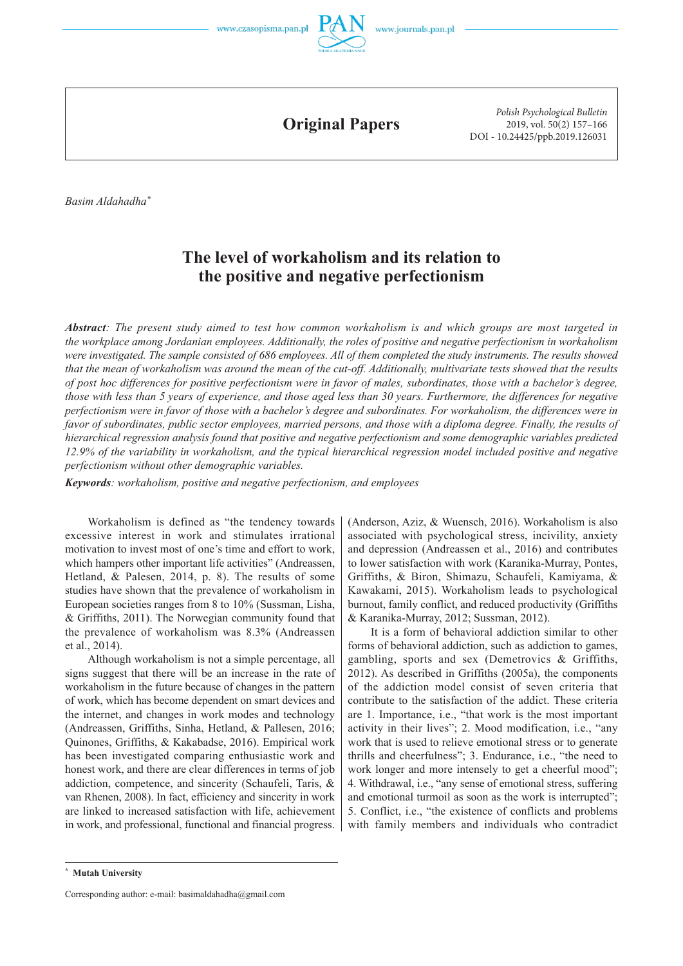



**Original Papers**

*Polish Psychological Bulletin* 2019, vol. 50(2) 157–166 DOI - 10.24425/ppb.2019.126031

*Basim Aldahadha\**

# **The level of workaholism and its relation to the positive and negative perfectionism**

*Abstract: The present study aimed to test how common workaholism is and which groups are most targeted in the workplace among Jordanian employees. Additionally, the roles of positive and negative perfectionism in workaholism were investigated. The sample consisted of 686 employees. All of them completed the study instruments. The results showed that the mean of workaholism was around the mean of the cut -off. Additionally, multivariate tests showed that the results of post hoc differences for positive perfectionism were in favor of males, subordinates, those with a bachelor's degree, those with less than 5 years of experience, and those aged less than 30 years. Furthermore, the differences for negative perfectionism were in favor of those with a bachelor's degree and subordinates. For workaholism, the differences were in favor of subordinates, public sector employees, married persons, and those with a diploma degree. Finally, the results of hierarchical regression analysis found that positive and negative perfectionism and some demographic variables predicted 12.9% of the variability in workaholism, and the typical hierarchical regression model included positive and negative perfectionism without other demographic variables.*

*Keywords: workaholism, positive and negative perfectionism, and employees*

Workaholism is defined as "the tendency towards excessive interest in work and stimulates irrational motivation to invest most of one's time and effort to work, which hampers other important life activities" (Andreassen, Hetland, & Palesen, 2014, p. 8). The results of some studies have shown that the prevalence of workaholism in European societies ranges from 8 to 10% (Sussman, Lisha, & Griffiths, 2011). The Norwegian community found that the prevalence of workaholism was 8.3% (Andreassen et al., 2014).

Although workaholism is not a simple percentage, all signs suggest that there will be an increase in the rate of workaholism in the future because of changes in the pattern of work, which has become dependent on smart devices and the internet, and changes in work modes and technology (Andreassen, Griffiths, Sinha, Hetland, & Pallesen, 2016; Quinones, Griffiths, & Kakabadse, 2016). Empirical work has been investigated comparing enthusiastic work and honest work, and there are clear differences in terms of job addiction, competence, and sincerity (Schaufeli, Taris, & van Rhenen, 2008). In fact, efficiency and sincerity in work are linked to increased satisfaction with life, achievement in work, and professional, functional and financial progress.

(Anderson, Aziz, & Wuensch, 2016). Workaholism is also associated with psychological stress, incivility, anxiety and depression (Andreassen et al., 2016) and contributes to lower satisfaction with work (Karanika-Murray, Pontes, Griffiths, & Biron, Shimazu, Schaufeli, Kamiyama, & Kawakami, 2015). Workaholism leads to psychological burnout, family conflict, and reduced productivity (Griffiths & Karanika -Murray, 2012; Sussman, 2012).

It is a form of behavioral addiction similar to other forms of behavioral addiction, such as addiction to games, gambling, sports and sex (Demetrovics & Griffiths, 2012). As described in Griffiths (2005a), the components of the addiction model consist of seven criteria that contribute to the satisfaction of the addict. These criteria are 1. Importance, i.e., "that work is the most important activity in their lives"; 2. Mood modification, i.e., "any work that is used to relieve emotional stress or to generate thrills and cheerfulness"; 3. Endurance, i.e., "the need to work longer and more intensely to get a cheerful mood"; 4. Withdrawal, i.e., "any sense of emotional stress, suffering and emotional turmoil as soon as the work is interrupted"; 5. Conflict, i.e., "the existence of conflicts and problems with family members and individuals who contradict

Corresponding author: e-mail: basimaldahadha@gmail.com

**<sup>\*</sup> Mutah University**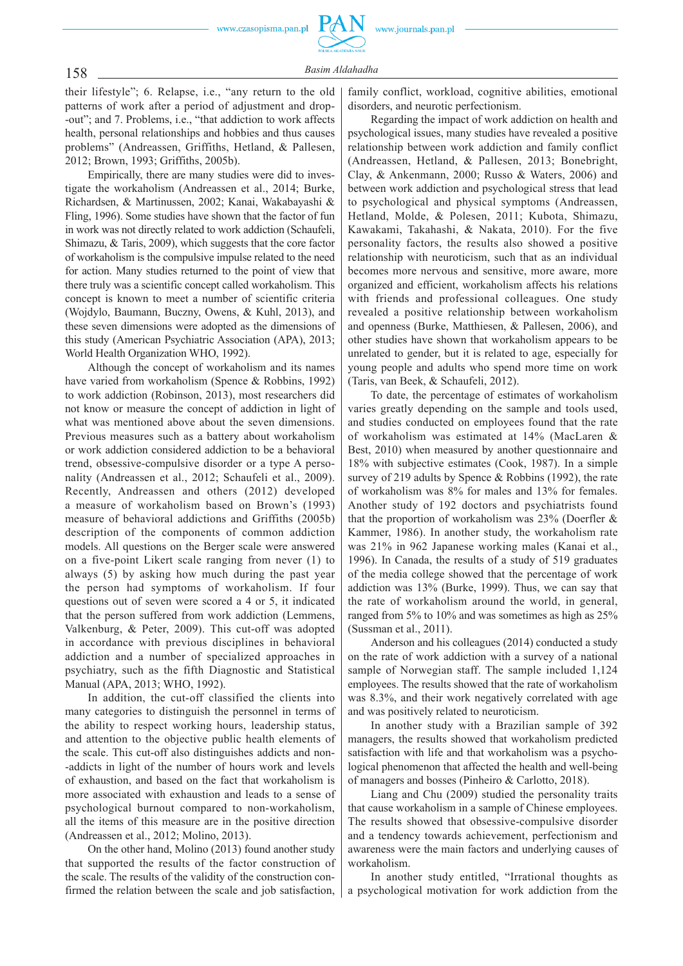their lifestyle"; 6. Relapse, i.e., "any return to the old patterns of work after a period of adjustment and drop- -out"; and 7. Problems, i.e., "that addiction to work affects health, personal relationships and hobbies and thus causes problems" (Andreassen, Griffiths, Hetland, & Pallesen, 2012; Brown, 1993; Griffiths, 2005b).

Empirically, there are many studies were did to investigate the workaholism (Andreassen et al., 2014; Burke, Richardsen, & Martinussen, 2002; Kanai, Wakabayashi & Fling, 1996). Some studies have shown that the factor of fun in work was not directly related to work addiction (Schaufeli, Shimazu, & Taris, 2009), which suggests that the core factor of workaholism is the compulsive impulse related to the need for action. Many studies returned to the point of view that there truly was a scientific concept called workaholism. This concept is known to meet a number of scientific criteria (Wojdylo, Baumann, Buczny, Owens, & Kuhl, 2013), and these seven dimensions were adopted as the dimensions of this study (American Psychiatric Association (APA), 2013; World Health Organization WHO, 1992).

Although the concept of workaholism and its names have varied from workaholism (Spence & Robbins, 1992) to work addiction (Robinson, 2013), most researchers did not know or measure the concept of addiction in light of what was mentioned above about the seven dimensions. Previous measures such as a battery about workaholism or work addiction considered addiction to be a behavioral trend, obsessive -compulsive disorder or a type A personality (Andreassen et al., 2012; Schaufeli et al., 2009). Recently, Andreassen and others (2012) developed a measure of workaholism based on Brown's (1993) measure of behavioral addictions and Griffiths (2005b) description of the components of common addiction models. All questions on the Berger scale were answered on a five -point Likert scale ranging from never (1) to always (5) by asking how much during the past year the person had symptoms of workaholism. If four questions out of seven were scored a 4 or 5, it indicated that the person suffered from work addiction (Lemmens, Valkenburg, & Peter, 2009). This cut -off was adopted in accordance with previous disciplines in behavioral addiction and a number of specialized approaches in psychiatry, such as the fifth Diagnostic and Statistical Manual (APA, 2013; WHO, 1992).

In addition, the cut -off classified the clients into many categories to distinguish the personnel in terms of the ability to respect working hours, leadership status, and attention to the objective public health elements of the scale. This cut -off also distinguishes addicts and non- -addicts in light of the number of hours work and levels of exhaustion, and based on the fact that workaholism is more associated with exhaustion and leads to a sense of psychological burnout compared to non-workaholism, all the items of this measure are in the positive direction (Andreassen et al., 2012; Molino, 2013).

On the other hand, Molino (2013) found another study that supported the results of the factor construction of the scale. The results of the validity of the construction confirmed the relation between the scale and job satisfaction, family conflict, workload, cognitive abilities, emotional disorders, and neurotic perfectionism.

Regarding the impact of work addiction on health and psychological issues, many studies have revealed a positive relationship between work addiction and family conflict (Andreassen, Hetland, & Pallesen, 2013; Bonebright, Clay, & Ankenmann, 2000; Russo & Waters, 2006) and between work addiction and psychological stress that lead to psychological and physical symptoms (Andreassen, Hetland, Molde, & Polesen, 2011; Kubota, Shimazu, Kawakami, Takahashi, & Nakata, 2010). For the five personality factors, the results also showed a positive relationship with neuroticism, such that as an individual becomes more nervous and sensitive, more aware, more organized and efficient, workaholism affects his relations with friends and professional colleagues. One study revealed a positive relationship between workaholism and openness (Burke, Matthiesen, & Pallesen, 2006), and other studies have shown that workaholism appears to be unrelated to gender, but it is related to age, especially for young people and adults who spend more time on work (Taris, van Beek, & Schaufeli, 2012).

To date, the percentage of estimates of workaholism varies greatly depending on the sample and tools used, and studies conducted on employees found that the rate of workaholism was estimated at 14% (MacLaren & Best, 2010) when measured by another questionnaire and 18% with subjective estimates (Cook, 1987). In a simple survey of 219 adults by Spence & Robbins (1992), the rate of workaholism was 8% for males and 13% for females. Another study of 192 doctors and psychiatrists found that the proportion of workaholism was 23% (Doerfler & Kammer, 1986). In another study, the workaholism rate was 21% in 962 Japanese working males (Kanai et al., 1996). In Canada, the results of a study of 519 graduates of the media college showed that the percentage of work addiction was 13% (Burke, 1999). Thus, we can say that the rate of workaholism around the world, in general, ranged from 5% to 10% and was sometimes as high as 25% (Sussman et al., 2011).

Anderson and his colleagues (2014) conducted a study on the rate of work addiction with a survey of a national sample of Norwegian staff. The sample included 1,124 employees. The results showed that the rate of workaholism was 8.3%, and their work negatively correlated with age and was positively related to neuroticism.

In another study with a Brazilian sample of 392 managers, the results showed that workaholism predicted satisfaction with life and that workaholism was a psychological phenomenon that affected the health and well-being of managers and bosses (Pinheiro & Carlotto, 2018).

Liang and Chu (2009) studied the personality traits that cause workaholism in a sample of Chinese employees. The results showed that obsessive -compulsive disorder and a tendency towards achievement, perfectionism and awareness were the main factors and underlying causes of workaholism.

In another study entitled, "Irrational thoughts as a psychological motivation for work addiction from the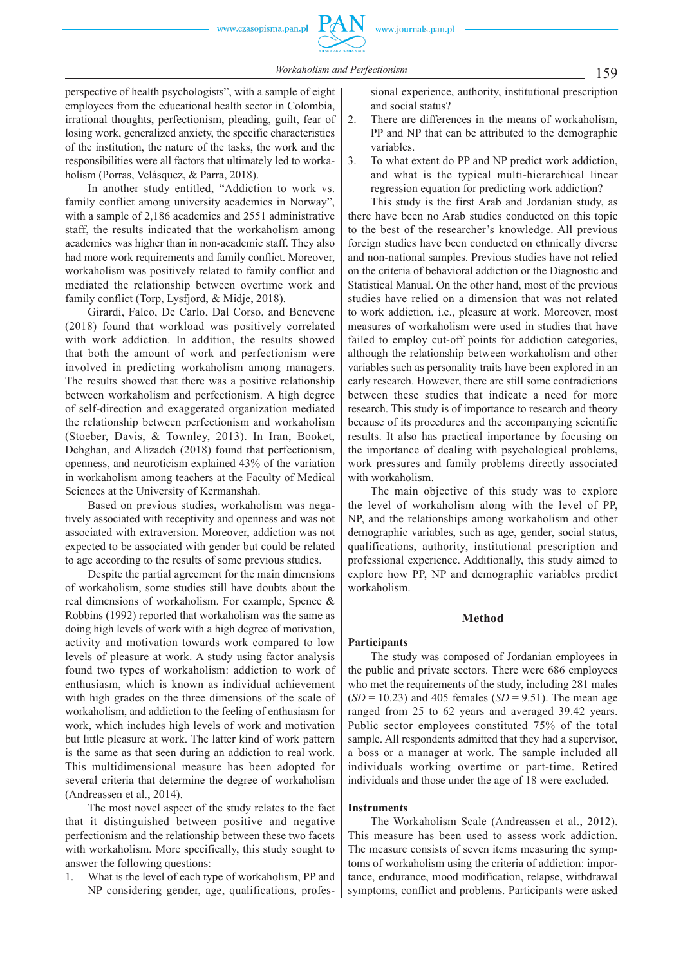159 *Workaholism and Perfectionism*

 perspective of health psychologists", with a sample of eight employees from the educational health sector in Colombia, irrational thoughts, perfectionism, pleading, guilt, fear of losing work, generalized anxiety, the specific characteristics of the institution, the nature of the tasks, the work and the responsibilities were all factors that ultimately led to workaholism (Porras, Velásquez, & Parra, 2018).

In another study entitled, "Addiction to work vs. family conflict among university academics in Norway", with a sample of 2,186 academics and 2551 administrative staff, the results indicated that the workaholism among academics was higher than in non -academic staff. They also had more work requirements and family conflict. Moreover, workaholism was positively related to family conflict and mediated the relationship between overtime work and family conflict (Torp, Lysfjord, & Midje, 2018).

Girardi, Falco, De Carlo, Dal Corso, and Benevene (2018) found that workload was positively correlated with work addiction. In addition, the results showed that both the amount of work and perfectionism were involved in predicting workaholism among managers. The results showed that there was a positive relationship between workaholism and perfectionism. A high degree of self -direction and exaggerated organization mediated the relationship between perfectionism and workaholism (Stoeber, Davis, & Townley, 2013). In Iran, Booket, Dehghan, and Alizadeh (2018) found that perfectionism, openness, and neuroticism explained 43% of the variation in workaholism among teachers at the Faculty of Medical Sciences at the University of Kermanshah.

Based on previous studies, workaholism was negatively associated with receptivity and openness and was not associated with extraversion. Moreover, addiction was not expected to be associated with gender but could be related to age according to the results of some previous studies.

Despite the partial agreement for the main dimensions of workaholism, some studies still have doubts about the real dimensions of workaholism. For example, Spence & Robbins (1992) reported that workaholism was the same as doing high levels of work with a high degree of motivation, activity and motivation towards work compared to low levels of pleasure at work. A study using factor analysis found two types of workaholism: addiction to work of enthusiasm, which is known as individual achievement with high grades on the three dimensions of the scale of workaholism, and addiction to the feeling of enthusiasm for work, which includes high levels of work and motivation but little pleasure at work. The latter kind of work pattern is the same as that seen during an addiction to real work. This multidimensional measure has been adopted for several criteria that determine the degree of workaholism (Andreassen et al., 2014).

The most novel aspect of the study relates to the fact that it distinguished between positive and negative perfectionism and the relationship between these two facets with workaholism. More specifically, this study sought to answer the following questions:

1. What is the level of each type of workaholism, PP and NP considering gender, age, qualifications, professional experience, authority, institutional prescription and social status?

- 2. There are differences in the means of workaholism, PP and NP that can be attributed to the demographic variables.
- 3. To what extent do PP and NP predict work addiction, and what is the typical multi-hierarchical linear regression equation for predicting work addiction?

This study is the first Arab and Jordanian study, as there have been no Arab studies conducted on this topic to the best of the researcher's knowledge. All previous foreign studies have been conducted on ethnically diverse and non -national samples. Previous studies have not relied on the criteria of behavioral addiction or the Diagnostic and Statistical Manual. On the other hand, most of the previous studies have relied on a dimension that was not related to work addiction, i.e., pleasure at work. Moreover, most measures of workaholism were used in studies that have failed to employ cut-off points for addiction categories, although the relationship between workaholism and other variables such as personality traits have been explored in an early research. However, there are still some contradictions between these studies that indicate a need for more research. This study is of importance to research and theory because of its procedures and the accompanying scientific results. It also has practical importance by focusing on the importance of dealing with psychological problems, work pressures and family problems directly associated with workaholism.

The main objective of this study was to explore the level of workaholism along with the level of PP, NP, and the relationships among workaholism and other demographic variables, such as age, gender, social status, qualifications, authority, institutional prescription and professional experience. Additionally, this study aimed to explore how PP, NP and demographic variables predict workaholism.

### **Method**

### **Participants**

The study was composed of Jordanian employees in the public and private sectors. There were 686 employees who met the requirements of the study, including 281 males (*SD* = 10.23) and 405 females (*SD* = 9.51). The mean age ranged from 25 to 62 years and averaged 39.42 years. Public sector employees constituted 75% of the total sample. All respondents admitted that they had a supervisor, a boss or a manager at work. The sample included all individuals working overtime or part-time. Retired individuals and those under the age of 18 were excluded.

## **Instruments**

The Workaholism Scale (Andreassen et al., 2012). This measure has been used to assess work addiction. The measure consists of seven items measuring the symptoms of workaholism using the criteria of addiction: importance, endurance, mood modification, relapse, withdrawal symptoms, conflict and problems. Participants were asked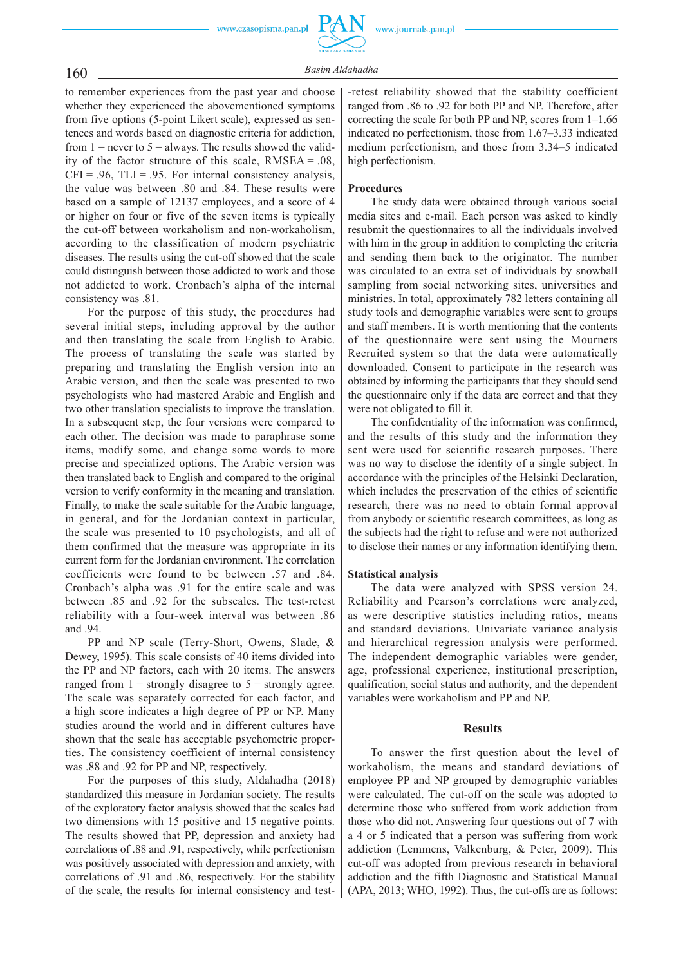to remember experiences from the past year and choose whether they experienced the abovementioned symptoms from five options (5-point Likert scale), expressed as sentences and words based on diagnostic criteria for addiction, from  $1 =$  never to  $5 =$  always. The results showed the validity of the factor structure of this scale, RMSEA = .08,  $CFI = .96$ ,  $TLI = .95$ . For internal consistency analysis, the value was between .80 and .84. These results were based on a sample of 12137 employees, and a score of 4 or higher on four or five of the seven items is typically the cut -off between workaholism and non -workaholism, according to the classification of modern psychiatric diseases. The results using the cut -off showed that the scale could distinguish between those addicted to work and those not addicted to work. Cronbach's alpha of the internal consistency was .81.

For the purpose of this study, the procedures had several initial steps, including approval by the author and then translating the scale from English to Arabic. The process of translating the scale was started by preparing and translating the English version into an Arabic version, and then the scale was presented to two psychologists who had mastered Arabic and English and two other translation specialists to improve the translation. In a subsequent step, the four versions were compared to each other. The decision was made to paraphrase some items, modify some, and change some words to more precise and specialized options. The Arabic version was then translated back to English and compared to the original version to verify conformity in the meaning and translation. Finally, to make the scale suitable for the Arabic language, in general, and for the Jordanian context in particular, the scale was presented to 10 psychologists, and all of them confirmed that the measure was appropriate in its current form for the Jordanian environment. The correlation coefficients were found to be between .57 and .84. Cronbach's alpha was .91 for the entire scale and was between .85 and .92 for the subscales. The test-retest reliability with a four -week interval was between .86 and .94.

PP and NP scale (Terry -Short, Owens, Slade, & Dewey, 1995). This scale consists of 40 items divided into the PP and NP factors, each with 20 items. The answers ranged from  $1 =$  strongly disagree to  $5 =$  strongly agree. The scale was separately corrected for each factor, and a high score indicates a high degree of PP or NP. Many studies around the world and in different cultures have shown that the scale has acceptable psychometric properties. The consistency coefficient of internal consistency was .88 and .92 for PP and NP, respectively.

For the purposes of this study, Aldahadha (2018) standardized this measure in Jordanian society. The results of the exploratory factor analysis showed that the scales had two dimensions with 15 positive and 15 negative points. The results showed that PP, depression and anxiety had correlations of .88 and .91, respectively, while perfectionism was positively associated with depression and anxiety, with correlations of .91 and .86, respectively. For the stability of the scale, the results for internal consistency and test-

-retest reliability showed that the stability coefficient ranged from .86 to .92 for both PP and NP. Therefore, after correcting the scale for both PP and NP, scores from 1–1.66 indicated no perfectionism, those from 1.67–3.33 indicated medium perfectionism, and those from 3.34–5 indicated high perfectionism.

#### **Procedures**

The study data were obtained through various social media sites and e -mail. Each person was asked to kindly resubmit the questionnaires to all the individuals involved with him in the group in addition to completing the criteria and sending them back to the originator. The number was circulated to an extra set of individuals by snowball sampling from social networking sites, universities and ministries. In total, approximately 782 letters containing all study tools and demographic variables were sent to groups and staff members. It is worth mentioning that the contents of the questionnaire were sent using the Mourners Recruited system so that the data were automatically downloaded. Consent to participate in the research was obtained by informing the participants that they should send the questionnaire only if the data are correct and that they were not obligated to fill it.

The confidentiality of the information was confirmed, and the results of this study and the information they sent were used for scientific research purposes. There was no way to disclose the identity of a single subject. In accordance with the principles of the Helsinki Declaration, which includes the preservation of the ethics of scientific research, there was no need to obtain formal approval from anybody or scientific research committees, as long as the subjects had the right to refuse and were not authorized to disclose their names or any information identifying them.

#### **Statistical analysis**

The data were analyzed with SPSS version 24. Reliability and Pearson's correlations were analyzed, as were descriptive statistics including ratios, means and standard deviations. Univariate variance analysis and hierarchical regression analysis were performed. The independent demographic variables were gender, age, professional experience, institutional prescription, qualification, social status and authority, and the dependent variables were workaholism and PP and NP.

#### **Results**

To answer the first question about the level of workaholism, the means and standard deviations of employee PP and NP grouped by demographic variables were calculated. The cut -off on the scale was adopted to determine those who suffered from work addiction from those who did not. Answering four questions out of 7 with a 4 or 5 indicated that a person was suffering from work addiction (Lemmens, Valkenburg, & Peter, 2009). This cut -off was adopted from previous research in behavioral addiction and the fifth Diagnostic and Statistical Manual  $(APA, 2013; WHO, 1992)$ . Thus, the cut-offs are as follows: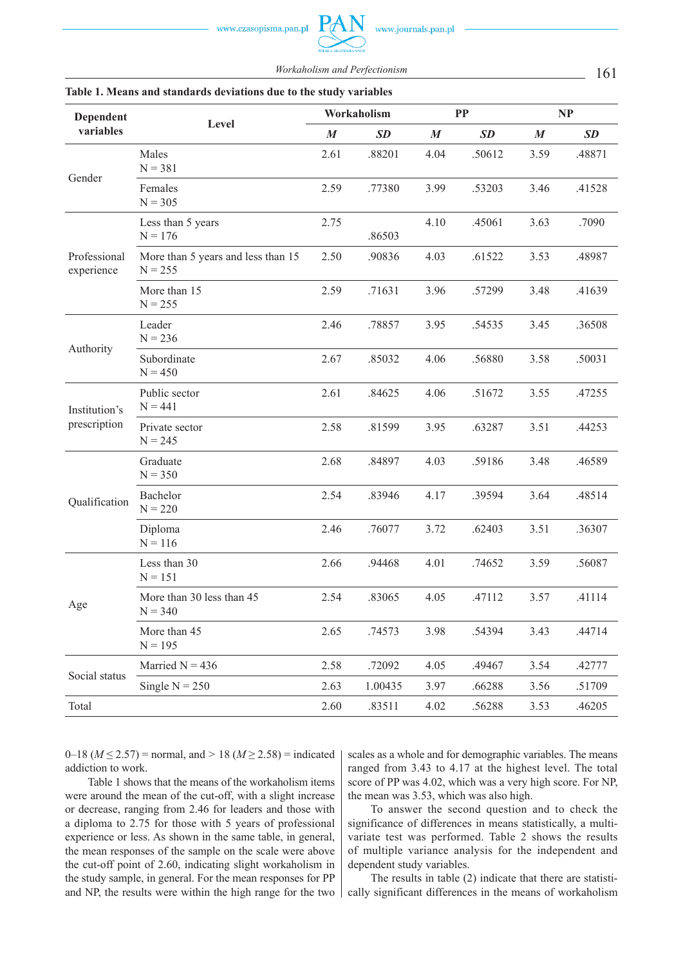161 *Workaholism and Perfectionism*

| Dependent                     |                                                 |                  | Workaholism | <b>PP</b>        |           | NP               |           |
|-------------------------------|-------------------------------------------------|------------------|-------------|------------------|-----------|------------------|-----------|
| variables                     | Level                                           | $\boldsymbol{M}$ | <b>SD</b>   | $\boldsymbol{M}$ | <b>SD</b> | $\boldsymbol{M}$ | <b>SD</b> |
|                               | Males<br>$N = 381$                              | 2.61             | .88201      | 4.04             | .50612    | 3.59             | .48871    |
| Gender                        | Females<br>$N = 305$                            | 2.59             | .77380      | 3.99             | .53203    | 3.46             | .41528    |
|                               | Less than 5 years<br>$N = 176$                  |                  | .86503      | 4.10             | .45061    | 3.63             | .7090     |
| Professional<br>experience    | More than 5 years and less than 15<br>$N = 255$ | 2.50             | .90836      | 4.03             | .61522    | 3.53             | .48987    |
|                               | More than 15<br>$N = 255$                       | 2.59             | .71631      | 3.96             | .57299    | 3.48             | .41639    |
| Authority                     | Leader<br>$N = 236$                             | 2.46             | .78857      | 3.95             | .54535    | 3.45             | .36508    |
|                               | Subordinate<br>$N = 450$                        | 2.67             | .85032      | 4.06             | .56880    | 3.58             | .50031    |
| Institution's<br>prescription | Public sector<br>$N = 441$                      | 2.61             | .84625      | 4.06             | .51672    | 3.55             | .47255    |
|                               | Private sector<br>$N = 245$                     | 2.58             | .81599      | 3.95             | .63287    | 3.51             | .44253    |
| Qualification                 | Graduate<br>$N = 350$                           | 2.68             | .84897      | 4.03             | .59186    | 3.48             | .46589    |
|                               | Bachelor<br>$N = 220$                           | 2.54             | .83946      | 4.17             | .39594    | 3.64             | .48514    |
|                               | Diploma<br>$N = 116$                            | 2.46             | .76077      | 3.72             | .62403    | 3.51             | .36307    |
| Age                           | Less than 30<br>$N = 151$                       | 2.66             | .94468      | 4.01             | .74652    | 3.59             | .56087    |
|                               | More than 30 less than 45<br>$N = 340$          | 2.54             | .83065      | 4.05             | .47112    | 3.57             | .41114    |
|                               | More than 45<br>$N = 195$                       | 2.65             | .74573      | 3.98             | .54394    | 3.43             | .44714    |
|                               | Married $N = 436$                               | 2.58             | .72092      | 4.05             | .49467    | 3.54             | .42777    |
| Social status                 | Single $N = 250$                                | 2.63             | 1.00435     | 3.97             | .66288    | 3.56             | .51709    |
| Total                         |                                                 | 2.60             | .83511      | 4.02             | .56288    | 3.53             | .46205    |

## **Table 1. Means and standards deviations due to the study variables**

0–18 ( $M \le 2.57$ ) = normal, and > 18 ( $M \ge 2.58$ ) = indicated addiction to work.

Table 1 shows that the means of the workaholism items were around the mean of the cut-off, with a slight increase or decrease, ranging from 2.46 for leaders and those with a diploma to 2.75 for those with 5 years of professional experience or less. As shown in the same table, in general, the mean responses of the sample on the scale were above the cut -off point of 2.60, indicating slight workaholism in the study sample, in general. For the mean responses for PP and NP, the results were within the high range for the two scales as a whole and for demographic variables. The means ranged from 3.43 to 4.17 at the highest level. The total score of PP was 4.02, which was a very high score. For NP, the mean was 3.53, which was also high.

To answer the second question and to check the significance of differences in means statistically, a multivariate test was performed. Table 2 shows the results of multiple variance analysis for the independent and dependent study variables.

The results in table (2) indicate that there are statistically significant differences in the means of workaholism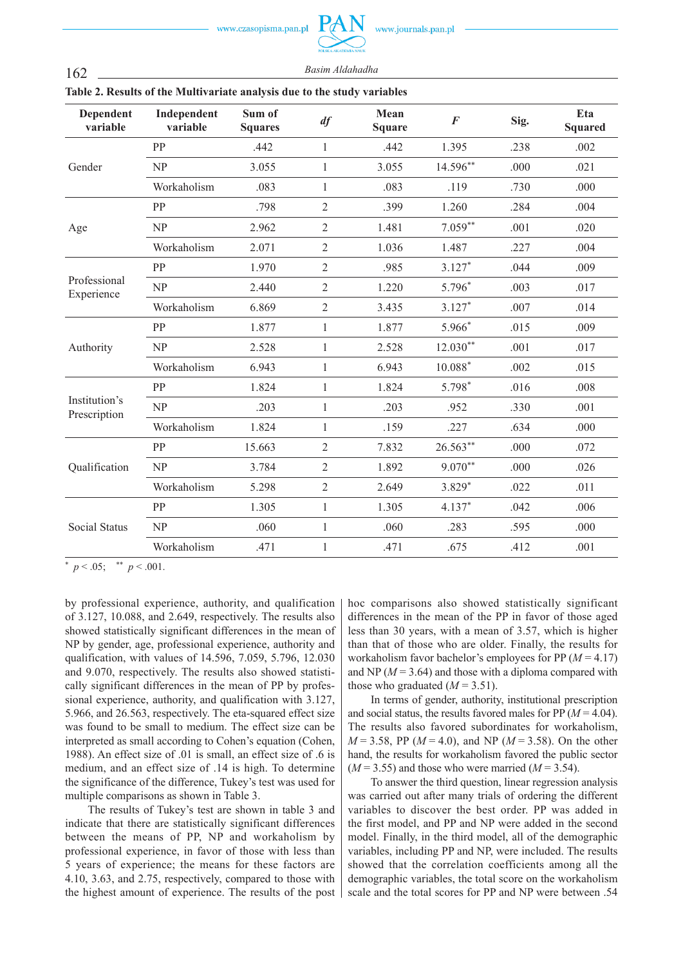| POLSKA AKADEMIA NAUK |  |
|----------------------|--|

PAN

| Dependent<br>variable         | Independent<br>variable | Sum of<br><b>Squares</b> | df             | Mean<br><b>Square</b> | $\boldsymbol{F}$ | Sig. | Eta<br><b>Squared</b> |  |  |
|-------------------------------|-------------------------|--------------------------|----------------|-----------------------|------------------|------|-----------------------|--|--|
|                               | PP                      | .442                     | $\mathbf{1}$   | .442                  | 1.395            | .238 | .002                  |  |  |
| Gender                        | NP                      | 3.055                    | 1              | 3.055                 | $14.596**$       | .000 | .021                  |  |  |
|                               | Workaholism             | .083                     | $\mathbf{1}$   | .083                  | .119             | .730 | .000                  |  |  |
|                               | PP                      | .798                     | $\overline{2}$ | .399                  | 1.260            | .284 | .004                  |  |  |
| Age                           | NP                      | 2.962                    | $\overline{2}$ | 1.481                 | $7.059**$        | .001 | .020                  |  |  |
|                               | Workaholism             | 2.071                    | $\overline{2}$ | 1.036                 | 1.487            | .227 | .004                  |  |  |
|                               | PP                      | 1.970                    | $\overline{2}$ | .985                  | $3.127*$         | .044 | .009                  |  |  |
| Professional<br>Experience    | NP                      | 2.440                    | $\overline{2}$ | 1.220                 | 5.796*           | .003 | .017                  |  |  |
|                               | Workaholism             | 6.869                    | $\overline{2}$ | 3.435                 | $3.127*$         | .007 | .014                  |  |  |
|                               | PP                      | 1.877                    | $\mathbf{1}$   | 1.877                 | 5.966*           | .015 | .009                  |  |  |
| Authority                     | NP                      | 2.528                    | 1              | 2.528                 | $12.030**$       | .001 | .017                  |  |  |
|                               | Workaholism             | 6.943                    | $\mathbf{1}$   | 6.943                 | $10.088*$        | .002 | .015                  |  |  |
|                               | PP                      | 1.824                    | 1              | 1.824                 | 5.798*           | .016 | .008                  |  |  |
| Institution's<br>Prescription | NP                      | .203                     | $\mathbf{1}$   | .203                  | .952             | .330 | .001                  |  |  |
|                               | Workaholism             | 1.824                    | 1              | .159                  | .227             | .634 | .000                  |  |  |
|                               | PP                      | 15.663                   | $\overline{2}$ | 7.832                 | 26.563**         | .000 | .072                  |  |  |
| Qualification                 | NP                      | 3.784                    | $\overline{2}$ | 1.892                 | $9.070**$        | .000 | .026                  |  |  |
|                               | Workaholism             | 5.298                    | $\overline{2}$ | 2.649                 | 3.829*           | .022 | .011                  |  |  |
|                               | PP                      | 1.305                    | $\mathbf{1}$   | 1.305                 | $4.137*$         | .042 | .006                  |  |  |
| <b>Social Status</b>          | NP                      | .060                     | 1              | .060                  | .283             | .595 | .000                  |  |  |
|                               | Workaholism             | .471                     | $\mathbf{1}$   | .471                  | .675             | .412 | .001                  |  |  |
|                               |                         |                          |                |                       |                  |      |                       |  |  |

## **Table 2. Results of the Multivariate analysis due to the study variables**

 $p < .05$ ; \*\*  $p < .001$ .

by professional experience, authority, and qualification of 3.127, 10.088, and 2.649, respectively. The results also showed statistically significant differences in the mean of NP by gender, age, professional experience, authority and qualification, with values of 14.596, 7.059, 5.796, 12.030 and 9.070, respectively. The results also showed statistically significant differences in the mean of PP by professional experience, authority, and qualification with 3.127, 5.966, and 26.563, respectively. The eta -squared effect size was found to be small to medium. The effect size can be interpreted as small according to Cohen's equation (Cohen, 1988). An effect size of .01 is small, an effect size of .6 is medium, and an effect size of .14 is high. To determine the significance of the difference, Tukey's test was used for multiple comparisons as shown in Table 3.

The results of Tukey's test are shown in table 3 and indicate that there are statistically significant differences between the means of PP, NP and workaholism by professional experience, in favor of those with less than 5 years of experience; the means for these factors are 4.10, 3.63, and 2.75, respectively, compared to those with the highest amount of experience. The results of the post hoc comparisons also showed statistically significant differences in the mean of the PP in favor of those aged less than 30 years, with a mean of 3.57, which is higher than that of those who are older. Finally, the results for workaholism favor bachelor's employees for PP (*M* = 4.17) and NP  $(M = 3.64)$  and those with a diploma compared with those who graduated  $(M = 3.51)$ .

In terms of gender, authority, institutional prescription and social status, the results favored males for  $PP(M = 4.04)$ . The results also favored subordinates for workaholism, *M* = 3.58, PP (*M* = 4.0), and NP (*M* = 3.58). On the other hand, the results for workaholism favored the public sector  $(M = 3.55)$  and those who were married  $(M = 3.54)$ .

To answer the third question, linear regression analysis was carried out after many trials of ordering the different variables to discover the best order. PP was added in the first model, and PP and NP were added in the second model. Finally, in the third model, all of the demographic variables, including PP and NP, were included. The results showed that the correlation coefficients among all the demographic variables, the total score on the workaholism scale and the total scores for PP and NP were between .54

162 *Basim Aldahadha*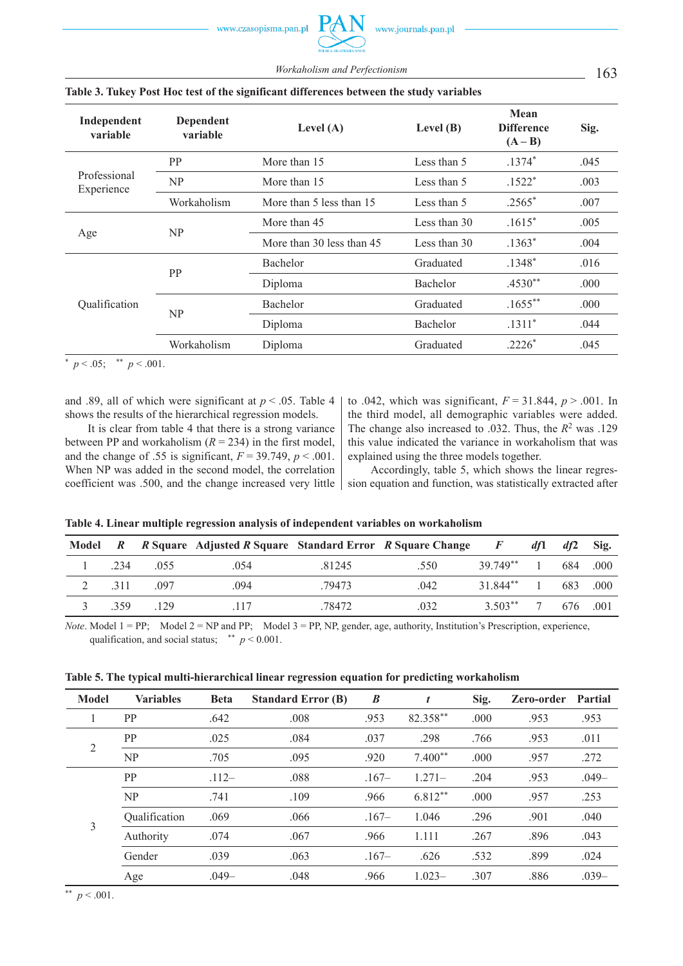163 *Workaholism and Perfectionism*

| Independent<br>variable    | Dependent<br>variable | Level $(A)$               | Level $(B)$  | Mean<br><b>Difference</b><br>$(A - B)$ | Sig. |
|----------------------------|-----------------------|---------------------------|--------------|----------------------------------------|------|
|                            | <b>PP</b>             | More than 15              | Less than 5  | $.1374*$                               | .045 |
| Professional<br>Experience | NP                    | More than 15              | Less than 5  | $.1522*$                               | .003 |
|                            | Workaholism           | More than 5 less than 15  | Less than 5  | $.2565*$                               | .007 |
|                            | NP                    | More than 45              | Less than 30 | $.1615*$                               | .005 |
| Age                        |                       | More than 30 less than 45 | Less than 30 | $.1363*$                               | .004 |
|                            | <b>PP</b>             | <b>Bachelor</b>           | Graduated    | $.1348*$                               | .016 |
|                            |                       | Diploma                   | Bachelor     | $.4530**$                              | .000 |
| Qualification              |                       | <b>Bachelor</b>           | Graduated    | $.1655***$                             | .000 |
|                            | NP                    | Diploma                   | Bachelor     | $.1311*$                               | .044 |
|                            | Workaholism           | Diploma                   | Graduated    | $.2226*$                               | .045 |

## **Table 3. Tukey Post Hoc test of the significant differences between the study variables**

 $p < .05$ ; \*\*  $p < .001$ .

and .89, all of which were significant at  $p < .05$ . Table 4 shows the results of the hierarchical regression models.

It is clear from table 4 that there is a strong variance between PP and workaholism  $(R = 234)$  in the first model, and the change of .55 is significant,  $F = 39.749$ ,  $p < .001$ . When NP was added in the second model, the correlation coefficient was .500, and the change increased very little

to .042, which was significant,  $F = 31.844$ ,  $p > .001$ . In the third model, all demographic variables were added. The change also increased to .032. Thus, the *R*2 was .129 this value indicated the variance in workaholism that was explained using the three models together.

Accordingly, table 5, which shows the linear regression equation and function, was statistically extracted after

## **Table 4. Linear multiple regression analysis of independent variables on workaholism**

|     |             | Model R R Square Adjusted R Square Standard Error R Square Change F |        |      |                         | df1 | df2 | Sig. |
|-----|-------------|---------------------------------------------------------------------|--------|------|-------------------------|-----|-----|------|
|     | 234 055     | .054                                                                | .81245 | .550 | 39.749** 1 684 .000     |     |     |      |
|     | 2 .311 .097 | .094                                                                | .79473 | .042 | 31.844** 1 683 .000     |     |     |      |
| 359 | 129         | .117                                                                | .78472 | .032 | $3.503^{**}$ 7 676 .001 |     |     |      |

*Note*. Model  $1 = PP$ ; Model  $2 = NP$  and  $PP$ ; Model  $3 = PP$ ,  $NP$ , gender, age, authority, Institution's Prescription, experience, qualification, and social status; \*\*  $p \le 0.001$ .

## **Table 5. The typical multi -hierarchical linear regression equation for predicting workaholism**

| <b>Model</b>   | <b>Variables</b> | <b>Beta</b> | <b>Standard Error (B)</b> | $\boldsymbol{B}$ |           | Sig. | Zero-order | Partial |
|----------------|------------------|-------------|---------------------------|------------------|-----------|------|------------|---------|
|                | <b>PP</b>        | .642        | .008                      | .953             | 82.358**  | .000 | .953       | .953    |
| $\overline{2}$ | PP               | .025        | .084                      | .037             | .298      | .766 | .953       | .011    |
|                | NP               | .705        | .095                      | .920             | $7.400**$ | .000 | .957       | .272    |
| 3              | <b>PP</b>        | $.112-$     | .088                      | $.167-$          | $1.271-$  | .204 | .953       | $.049-$ |
|                | NP               | .741        | .109                      | .966             | $6.812**$ | .000 | .957       | .253    |
|                | Qualification    | .069        | .066                      | $.167-$          | 1.046     | .296 | .901       | .040    |
|                | Authority        | .074        | .067                      | .966             | 1.111     | .267 | .896       | .043    |
|                | Gender           | .039        | .063                      | $.167-$          | .626      | .532 | .899       | .024    |
|                | Age              | $.049-$     | .048                      | .966             | $1.023-$  | .307 | .886       | $.039-$ |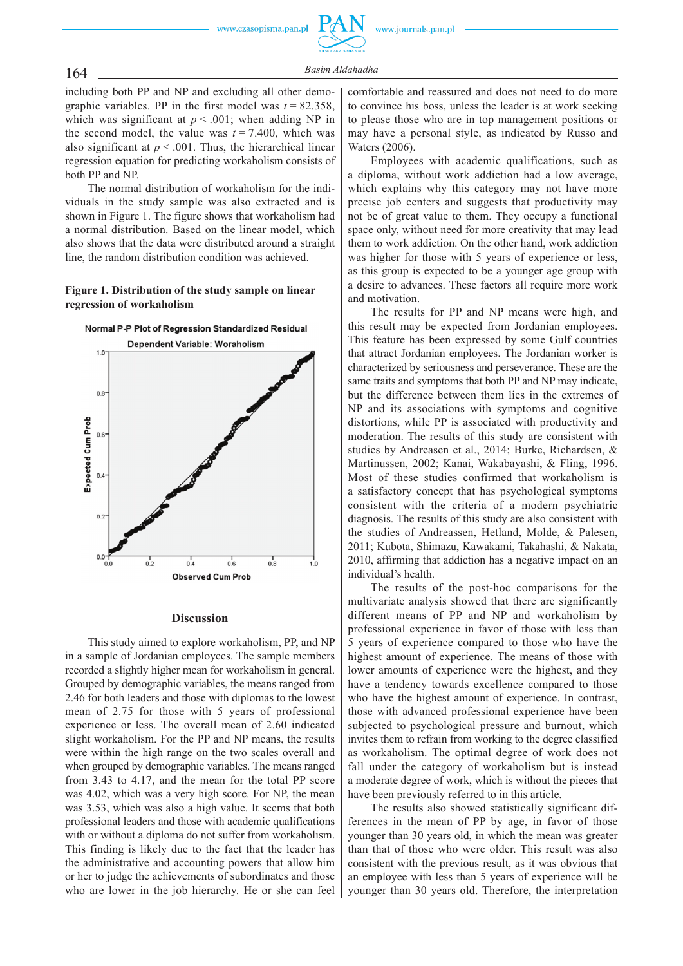# 164 *Basim Aldahadha*

including both PP and NP and excluding all other demographic variables. PP in the first model was  $t = 82.358$ , which was significant at  $p < .001$ ; when adding NP in the second model, the value was  $t = 7.400$ , which was also significant at  $p < .001$ . Thus, the hierarchical linear regression equation for predicting workaholism consists of both PP and NP.

The normal distribution of workaholism for the individuals in the study sample was also extracted and is shown in Figure 1. The figure shows that workaholism had a normal distribution. Based on the linear model, which also shows that the data were distributed around a straight line, the random distribution condition was achieved.

## **Figure 1. Distribution of the study sample on linear regression of workaholism**



#### **Discussion**

This study aimed to explore workaholism, PP, and NP in a sample of Jordanian employees. The sample members recorded a slightly higher mean for workaholism in general. Grouped by demographic variables, the means ranged from 2.46 for both leaders and those with diplomas to the lowest mean of 2.75 for those with 5 years of professional experience or less. The overall mean of 2.60 indicated slight workaholism. For the PP and NP means, the results were within the high range on the two scales overall and when grouped by demographic variables. The means ranged from 3.43 to 4.17, and the mean for the total PP score was 4.02, which was a very high score. For NP, the mean was 3.53, which was also a high value. It seems that both professional leaders and those with academic qualifications with or without a diploma do not suffer from workaholism. This finding is likely due to the fact that the leader has the administrative and accounting powers that allow him or her to judge the achievements of subordinates and those who are lower in the job hierarchy. He or she can feel

comfortable and reassured and does not need to do more to convince his boss, unless the leader is at work seeking to please those who are in top management positions or may have a personal style, as indicated by Russo and Waters (2006).

Employees with academic qualifications, such as a diploma, without work addiction had a low average, which explains why this category may not have more precise job centers and suggests that productivity may not be of great value to them. They occupy a functional space only, without need for more creativity that may lead them to work addiction. On the other hand, work addiction was higher for those with 5 years of experience or less, as this group is expected to be a younger age group with a desire to advances. These factors all require more work and motivation.

The results for PP and NP means were high, and this result may be expected from Jordanian employees. This feature has been expressed by some Gulf countries that attract Jordanian employees. The Jordanian worker is characterized by seriousness and perseverance. These are the same traits and symptoms that both PP and NP may indicate, but the difference between them lies in the extremes of NP and its associations with symptoms and cognitive distortions, while PP is associated with productivity and moderation. The results of this study are consistent with studies by Andreasen et al., 2014; Burke, Richardsen, & Martinussen, 2002; Kanai, Wakabayashi, & Fling, 1996. Most of these studies confirmed that workaholism is a satisfactory concept that has psychological symptoms consistent with the criteria of a modern psychiatric diagnosis. The results of this study are also consistent with the studies of Andreassen, Hetland, Molde, & Palesen, 2011; Kubota, Shimazu, Kawakami, Takahashi, & Nakata, 2010, affirming that addiction has a negative impact on an individual's health.

The results of the post-hoc comparisons for the multivariate analysis showed that there are significantly different means of PP and NP and workaholism by professional experience in favor of those with less than 5 years of experience compared to those who have the highest amount of experience. The means of those with lower amounts of experience were the highest, and they have a tendency towards excellence compared to those who have the highest amount of experience. In contrast, those with advanced professional experience have been subjected to psychological pressure and burnout, which invites them to refrain from working to the degree classified as workaholism. The optimal degree of work does not fall under the category of workaholism but is instead a moderate degree of work, which is without the pieces that have been previously referred to in this article.

The results also showed statistically significant differences in the mean of PP by age, in favor of those younger than 30 years old, in which the mean was greater than that of those who were older. This result was also consistent with the previous result, as it was obvious that an employee with less than 5 years of experience will be younger than 30 years old. Therefore, the interpretation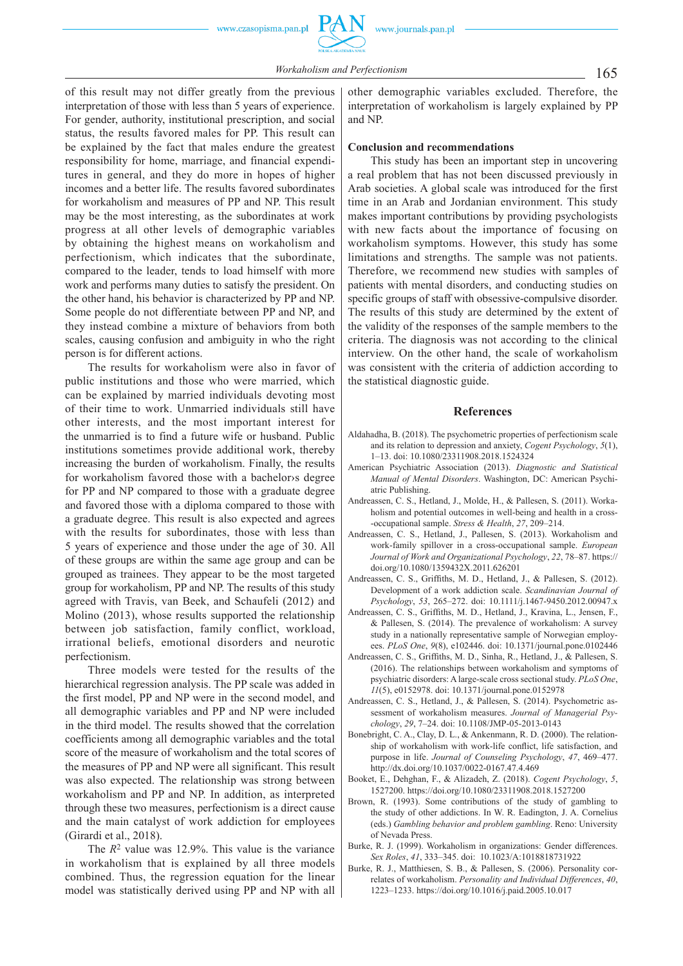of this result may not differ greatly from the previous interpretation of those with less than 5 years of experience. For gender, authority, institutional prescription, and social status, the results favored males for PP. This result can be explained by the fact that males endure the greatest responsibility for home, marriage, and financial expenditures in general, and they do more in hopes of higher incomes and a better life. The results favored subordinates for workaholism and measures of PP and NP. This result may be the most interesting, as the subordinates at work progress at all other levels of demographic variables by obtaining the highest means on workaholism and perfectionism, which indicates that the subordinate, compared to the leader, tends to load himself with more work and performs many duties to satisfy the president. On the other hand, his behavior is characterized by PP and NP. Some people do not differentiate between PP and NP, and they instead combine a mixture of behaviors from both scales, causing confusion and ambiguity in who the right person is for different actions.

The results for workaholism were also in favor of public institutions and those who were married, which can be explained by married individuals devoting most of their time to work. Unmarried individuals still have other interests, and the most important interest for the unmarried is to find a future wife or husband. Public institutions sometimes provide additional work, thereby increasing the burden of workaholism. Finally, the results for workaholism favored those with a bachelor›s degree for PP and NP compared to those with a graduate degree and favored those with a diploma compared to those with a graduate degree. This result is also expected and agrees with the results for subordinates, those with less than 5 years of experience and those under the age of 30. All of these groups are within the same age group and can be grouped as trainees. They appear to be the most targeted group for workaholism, PP and NP. The results of this study agreed with Travis, van Beek, and Schaufeli (2012) and Molino (2013), whose results supported the relationship between job satisfaction, family conflict, workload, irrational beliefs, emotional disorders and neurotic perfectionism.

Three models were tested for the results of the hierarchical regression analysis. The PP scale was added in the first model, PP and NP were in the second model, and all demographic variables and PP and NP were included in the third model. The results showed that the correlation coefficients among all demographic variables and the total score of the measure of workaholism and the total scores of the measures of PP and NP were all significant. This result was also expected. The relationship was strong between workaholism and PP and NP. In addition, as interpreted through these two measures, perfectionism is a direct cause and the main catalyst of work addiction for employees (Girardi et al., 2018).

The  $R^2$  value was 12.9%. This value is the variance in workaholism that is explained by all three models combined. Thus, the regression equation for the linear model was statistically derived using PP and NP with all

other demographic variables excluded. Therefore, the interpretation of workaholism is largely explained by PP and NP.

#### **Conclusion and recommendations**

This study has been an important step in uncovering a real problem that has not been discussed previously in Arab societies. A global scale was introduced for the first time in an Arab and Jordanian environment. This study makes important contributions by providing psychologists with new facts about the importance of focusing on workaholism symptoms. However, this study has some limitations and strengths. The sample was not patients. Therefore, we recommend new studies with samples of patients with mental disorders, and conducting studies on specific groups of staff with obsessive -compulsive disorder. The results of this study are determined by the extent of the validity of the responses of the sample members to the criteria. The diagnosis was not according to the clinical interview. On the other hand, the scale of workaholism was consistent with the criteria of addiction according to the statistical diagnostic guide.

#### **References**

- Aldahadha, B. (2018). The psychometric properties of perfectionism scale and its relation to depression and anxiety, *Cogent Psychology*, *5*(1), 1–13. doi: 10.1080/23311908.2018.1524324
- American Psychiatric Association (2013). *Diagnostic and Statistical Manual of Mental Disorders*. Washington, DC: American Psychiatric Publishing.
- Andreassen, C. S., Hetland, J., Molde, H., & Pallesen, S. (2011). Workaholism and potential outcomes in well -being and health in a cross- -occupational sample. *Stress & Health*, *27*, 209–214.
- Andreassen, C. S., Hetland, J., Pallesen, S. (2013). Workaholism and work -family spillover in a cross -occupational sample. *European Journal of Work and Organizational Psychology*, *22*, 78–87. https:// doi.org/10.1080/1359432X.2011.626201
- Andreassen, C. S., Griffiths, M. D., Hetland, J., & Pallesen, S. (2012). Development of a work addiction scale. *Scandinavian Journal of Psychology*, *53*, 265–272. doi: 10.1111/j.1467 -9450.2012.00947.x
- Andreassen, C. S., Griffiths, M. D., Hetland, J., Kravina, L., Jensen, F., & Pallesen, S. (2014). The prevalence of workaholism: A survey study in a nationally representative sample of Norwegian employees. *PLoS One*, *9*(8), e102446. doi: 10.1371/journal.pone.0102446
- Andreassen, C. S., Griffiths, M. D., Sinha, R., Hetland, J., & Pallesen, S. (2016). The relationships between workaholism and symptoms of psychiatric disorders: A large -scale cross sectional study. *PLoS One*, *11*(5), e0152978. doi: 10.1371/journal.pone.0152978
- Andreassen, C. S., Hetland, J., & Pallesen, S. (2014). Psychometric assessment of workaholism measures. *Journal of Managerial Psychology*, *29*, 7–24. doi: 10.1108/JMP -05 -2013 -0143
- Bonebright, C. A., Clay, D. L., & Ankenmann, R. D. (2000). The relationship of workaholism with work-life conflict, life satisfaction, and purpose in life. *Journal of Counseling Psychology*, *47*, 469–477. http://dx.doi.org/10.1037/0022 -0167.47.4.469
- Booket, E., Dehghan, F., & Alizadeh, Z. (2018). *Cogent Psychology*, *5*, 1527200. https://doi.org/10.1080/23311908.2018.1527200
- Brown, R. (1993). Some contributions of the study of gambling to the study of other addictions. In W. R. Eadington, J. A. Cornelius (eds.) *Gambling behavior and problem gambling*. Reno: University of Nevada Press.
- Burke, R. J. (1999). Workaholism in organizations: Gender differences. *Sex Roles*, *41*, 333–345. doi: 10.1023/A:1018818731922
- Burke, R. J., Matthiesen, S. B., & Pallesen, S. (2006). Personality correlates of workaholism. *Personality and Individual Differences*, *40*, 1223–1233. https://doi.org/10.1016/j.paid.2005.10.017